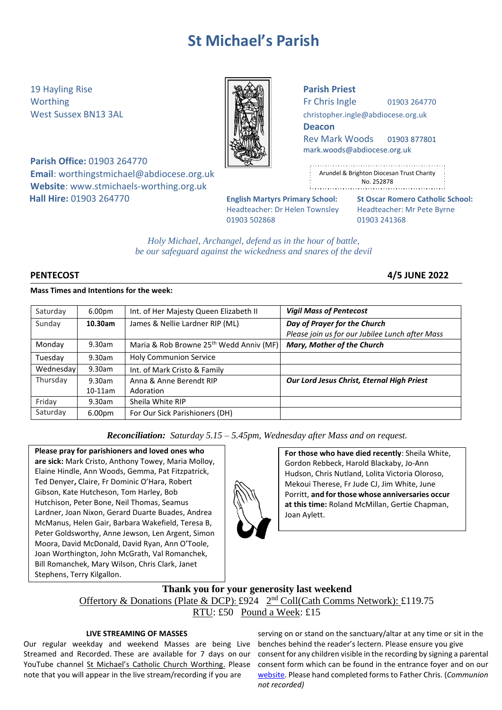# **St Michael's Parish**

19 Hayling Rise **Parish Priest**

**Parish Office:** 01903 264770

**Email**: [worthingstmichael@abdiocese.org.uk](mailto:worthingstmichael@abdiocese.org.uk) **Website**: [www.stmichaels-worthing.org.uk](http://www.stmichaels-worthing.org.uk/)

Worthing  $\parallel$   $\parallel$   $\parallel$   $\parallel$   $\parallel$  Fr Chris Ingle 01903 264770

West Sussex BN13 3AL **[christopher.ingle@abdiocese.org.uk](mailto:christopher.ingle@abdiocese.org.uk)** | **christopher.ingle@abdiocese.org.uk** 

**Deacon**

Rev Mark Woods 01903 877801 [mark.woods@abdiocese.org.uk](mailto:mark.woods@abdiocese.org.uk)

| ٠      |                                           |
|--------|-------------------------------------------|
| ÷      | Arundel & Brighton Diocesan Trust Charity |
| ٠<br>٠ | No. 252878                                |
|        |                                           |

Headteacher: Dr Helen Townsley Headteacher: Mr Pete Byrne 01903 502868 01903 241368

**Hall Hire:** 01903 264770 **English Martyrs Primary School: St Oscar Romero Catholic School:**

*Holy Michael, Archangel, defend us in the hour of battle, be our safeguard against the wickedness and snares of the devil*

**PENTECOST 4/5 JUNE 2022**

# **Mass Times and Intentions for the week:**

| Saturday  | 6.00 <sub>pm</sub> | Int. of Her Majesty Queen Elizabeth II              | <b>Vigil Mass of Pentecost</b>                  |
|-----------|--------------------|-----------------------------------------------------|-------------------------------------------------|
| Sunday    | 10.30am            | James & Nellie Lardner RIP (ML)                     | Day of Prayer for the Church                    |
|           |                    |                                                     | Please join us for our Jubilee Lunch after Mass |
| Monday    | 9.30am             | Maria & Rob Browne 25 <sup>th</sup> Wedd Anniv (MF) | Mary, Mother of the Church                      |
| Tuesday   | 9.30am             | <b>Holy Communion Service</b>                       |                                                 |
| Wednesday | 9.30am             | Int. of Mark Cristo & Family                        |                                                 |
| Thursday  | 9.30am             | Anna & Anne Berendt RIP                             | Our Lord Jesus Christ, Eternal High Priest      |
|           | $10-11$ am         | Adoration                                           |                                                 |
| Friday    | 9.30am             | Sheila White RIP                                    |                                                 |
| Saturday  | 6.00 <sub>pm</sub> | For Our Sick Parishioners (DH)                      |                                                 |

*Reconciliation: Saturday 5.15 – 5.45pm, Wednesday after Mass and on request.*

**Please pray for parishioners and loved ones who are sick:** Mark Cristo, Anthony Towey, Maria Molloy, Elaine Hindle, Ann Woods, Gemma, Pat Fitzpatrick, Ted Denyer**,** Claire, Fr Dominic O'Hara, Robert Gibson, Kate Hutcheson, Tom Harley, Bob Hutchison, Peter Bone, Neil Thomas, Seamus Lardner, Joan Nixon, Gerard Duarte Buades, Andrea McManus, Helen Gair, Barbara Wakefield, Teresa B, Peter Goldsworthy, Anne Jewson, Len Argent, Simon Moora, David McDonald, David Ryan, Ann O'Toole, Joan Worthington, John McGrath, Val Romanchek, Bill Romanchek, Mary Wilson, Chris Clark, Janet Stephens, Terry Kilgallon.

**For those who have died recently**: Sheila White, Gordon Rebbeck, Harold Blackaby, Jo-Ann Hudson, Chris Nutland, Lolita Victoria Oloroso, Mekoui Therese, Fr Jude CJ, Jim White, June Porritt, **and forthose whose anniversaries occur at this time:** Roland McMillan, Gertie Chapman, Joan Aylett.

# **Thank you for your generosity last weekend** Offertory & Donations (Plate & DCP): £924 2<sup>nd</sup> Coll(Cath Comms Network): £119.75 RTU: £50 Pound a Week: £15

# **LIVE STREAMING OF MASSES**

Our regular weekday and weekend Masses are being Live Streamed and Recorded. These are available for 7 days on our YouTube channel [St Michael's Catholic Church Worthing](https://www.youtube.com/channel/UCJbxYiC8NIvWP1CZ6Ate-fA/videos). Please note that you will appear in the live stream/recording if you are

serving on or stand on the sanctuary/altar at any time or sit in the benches behind the reader's lectern. Please ensure you give consent for any children visible in the recording by signing a parental consent form which can be found in the entrance foyer and on our [website.](https://www.stmichaels-worthing.org.uk/Groups/161112/St_Michaels_Worthing/Parish_News/Parish_News.aspx) Please hand completed forms to Father Chris. (*Communion not recorded)*